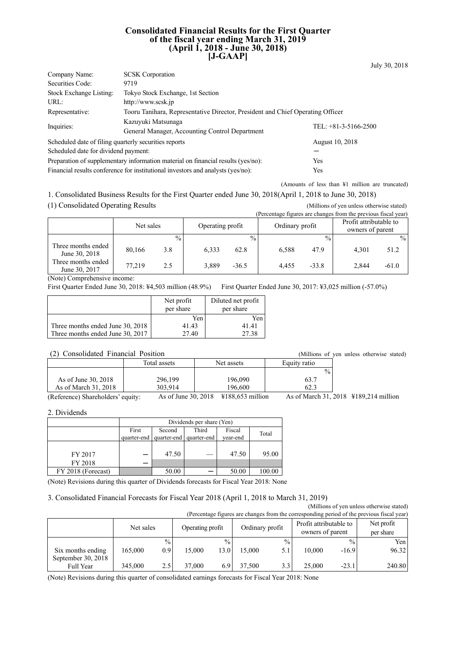#### **Consolidated Financial Results for the First Quarter of the fiscal year ending March 31, 2019 (April 1, 2018 - June 30, 2018) [J-GAAP]**

| Company Name:                                                                           | <b>SCSK</b> Corporation                                                                |                        |  |  |  |
|-----------------------------------------------------------------------------------------|----------------------------------------------------------------------------------------|------------------------|--|--|--|
| Securities Code:                                                                        | 9719                                                                                   |                        |  |  |  |
| Stock Exchange Listing:                                                                 | Tokyo Stock Exchange, 1st Section                                                      |                        |  |  |  |
| URL:                                                                                    | http://www.scsk.jp                                                                     |                        |  |  |  |
| Representative:                                                                         | Tooru Tanihara, Representative Director, President and Chief Operating Officer         |                        |  |  |  |
| Inquiries:                                                                              | Kazuyuki Matsunaga<br>General Manager, Accounting Control Department                   | TEL: $+81-3-5166-2500$ |  |  |  |
| Scheduled date of filing quarterly securities reports                                   |                                                                                        | August 10, 2018        |  |  |  |
| Scheduled date for dividend payment:                                                    |                                                                                        |                        |  |  |  |
| Preparation of supplementary information material on financial results (yes/no):<br>Yes |                                                                                        |                        |  |  |  |
|                                                                                         | Financial results conference for institutional investors and analysts (yes/no):<br>Yes |                        |  |  |  |

(Amounts of less than ¥1 million are truncated)

1. Consolidated Business Results for the First Quarter ended June 30, 2018(April 1, 2018 to June 30, 2018)

(1) Consolidated Operating Results (Millions of yen unless otherwise stated)<br>(Percentage figures are changes from the previous fiscal year)

July 30, 2018

| (Percentage figures are changes from the previous fiscal year) |           |               |                  |               |                 |               |                                            |               |
|----------------------------------------------------------------|-----------|---------------|------------------|---------------|-----------------|---------------|--------------------------------------------|---------------|
|                                                                | Net sales |               | Operating profit |               | Ordinary profit |               | Profit attributable to<br>owners of parent |               |
|                                                                |           | $\frac{0}{0}$ |                  | $\frac{0}{0}$ |                 | $\frac{0}{0}$ |                                            | $\frac{0}{0}$ |
| Three months ended<br>June 30, 2018                            | 80,166    | 3.8           | 6.333            | 62.8          | 6.588           | 47.9          | 4.301                                      | 51.2          |
| Three months ended<br>June 30, 2017                            | 77.219    | 2.5           | 3.889            | $-36.5$       | 4.455           | $-33.8$       | 2,844                                      | $-61.0$       |

(Note) Comprehensive income:

First Quarter Ended June 30, 2018: ¥4,503 million (48.9%) First Quarter Ended June 30, 2017: ¥3,025 million (-57.0%)

|                                  | Net profit<br>per share | Diluted net profit<br>per share |
|----------------------------------|-------------------------|---------------------------------|
|                                  | Yen                     | Yen                             |
| Three months ended June 30, 2018 | 41.43                   | 41.41                           |
| Three months ended June 30, 2017 | 27.40                   | 27.38                           |

Total assets Net assets Bquity ratio  $\overline{\omega}_0$ As of June 30, 2018 <br>As of March 31, 2018 <br>303,914 <br>196,600 <br>62.3 As of March 31, 2018 303,914 196,600 196,600 62.3

(Reference) Shareholders' equity: As of June 30, 2018 ¥188,653 million As of March 31, 2018 ¥189,214 million

2. Dividends

|                    | Dividends per share (Yen) |                                    |             |          |        |  |  |
|--------------------|---------------------------|------------------------------------|-------------|----------|--------|--|--|
|                    | First                     | Fiscal<br>Third<br>Second<br>Total |             |          |        |  |  |
|                    | quarter-end               | quarter-end                        | quarter-end | vear-end |        |  |  |
|                    |                           |                                    |             |          |        |  |  |
| FY 2017            |                           | 47.50                              |             | 47.50    | 95.00  |  |  |
| FY 2018            |                           |                                    |             |          |        |  |  |
| FY 2018 (Forecast) |                           | 50.00                              |             | 50.00    | 100.00 |  |  |

(Note) Revisions during this quarter of Dividends forecasts for Fiscal Year 2018: None

3. Consolidated Financial Forecasts for Fiscal Year 2018 (April 1, 2018 to March 31, 2019)

(Millions of yen unless otherwise stated) (Percentage figures are changes from the corresponding period of the previous fiscal year)

|                                         | Net sales |               | Operating profit |               | Ordinary profit |                 | Profit attributable to<br>owners of parent |               | Net profit<br>per share |
|-----------------------------------------|-----------|---------------|------------------|---------------|-----------------|-----------------|--------------------------------------------|---------------|-------------------------|
|                                         |           | $\frac{0}{0}$ |                  | $\frac{0}{0}$ |                 | $\frac{0}{0}$ . |                                            | $\frac{0}{0}$ | Yen                     |
| Six months ending<br>September 30, 2018 | 165,000   | 0.9           | 15,000           | 13.0          | 5.000           | 5.1             | 10.000                                     | $-16.9$       | 96.32                   |
| Full Year                               | 345,000   | 2.5           | 37,000           |               | 37,500          | 3.3             | 25,000                                     | $-23.1$       | 240.80                  |

(Note) Revisions during this quarter of consolidated earnings forecasts for Fiscal Year 2018: None

(2) Consolidated Financial Position (Millions of yen unless otherwise stated)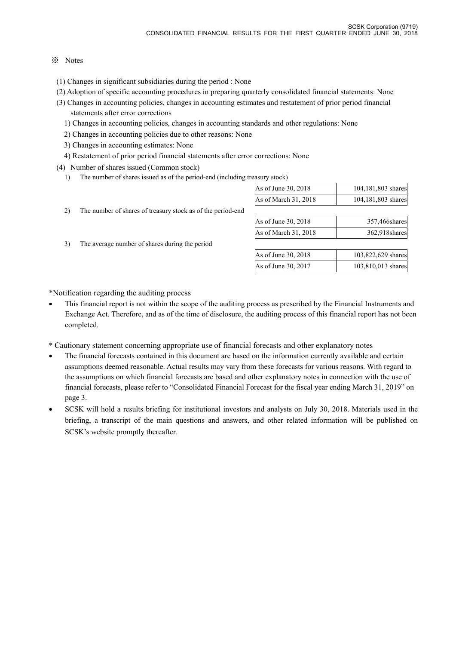### ※ Notes

- (1) Changes in significant subsidiaries during the period : None
- (2) Adoption of specific accounting procedures in preparing quarterly consolidated financial statements: None
- (3) Changes in accounting policies, changes in accounting estimates and restatement of prior period financial statements after error corrections
	- 1) Changes in accounting policies, changes in accounting standards and other regulations: None
	- 2) Changes in accounting policies due to other reasons: None
	- 3) Changes in accounting estimates: None
	- 4) Restatement of prior period financial statements after error corrections: None
- (4) Number of shares issued (Common stock)
	- 1) The number of shares issued as of the period-end (including treasury stock)

| TITA TIANTITO AT AT ATIANIAN THOMAS AND AT ATIA NATIONA ATIAN (TITATAMINITIM ATAAANAN ) NAGARI |                      |                    |
|------------------------------------------------------------------------------------------------|----------------------|--------------------|
|                                                                                                | As of June 30, 2018  | 104,181,803 shares |
|                                                                                                | As of March 31, 2018 | 104,181,803 shares |

2) The number of shares of treasury stock as of the period-end

3) The average number of shares during the period

| As of June 30, 2018  | 357,466shares  |
|----------------------|----------------|
| As of March 31, 2018 | 362.918 shares |
|                      |                |

| As of June 30, 2018 | 103,822,629 shares |
|---------------------|--------------------|
| As of June 30, 2017 | 103,810,013 shares |

\*Notification regarding the auditing process

- This financial report is not within the scope of the auditing process as prescribed by the Financial Instruments and Exchange Act. Therefore, and as of the time of disclosure, the auditing process of this financial report has not been completed.
- \* Cautionary statement concerning appropriate use of financial forecasts and other explanatory notes
- The financial forecasts contained in this document are based on the information currently available and certain assumptions deemed reasonable. Actual results may vary from these forecasts for various reasons. With regard to the assumptions on which financial forecasts are based and other explanatory notes in connection with the use of financial forecasts, please refer to "Consolidated Financial Forecast for the fiscal year ending March 31, 2019" on page 3.
- SCSK will hold a results briefing for institutional investors and analysts on July 30, 2018. Materials used in the briefing, a transcript of the main questions and answers, and other related information will be published on SCSK's website promptly thereafter.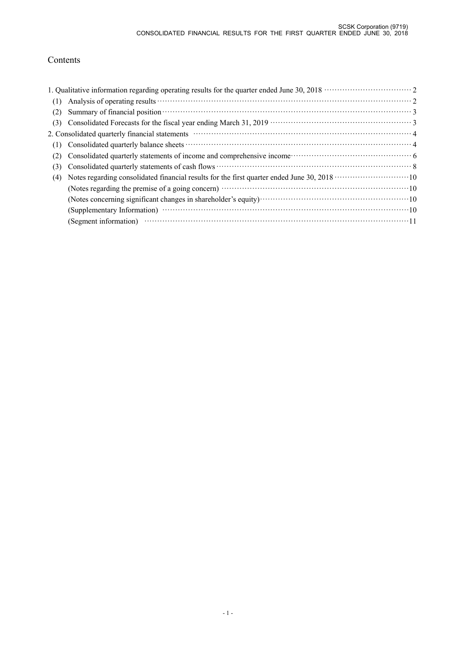# Contents

|     | 1. Qualitative information regarding operating results for the quarter ended June 30, 2018 ······························ 2                                                                               |  |
|-----|-----------------------------------------------------------------------------------------------------------------------------------------------------------------------------------------------------------|--|
| (1) |                                                                                                                                                                                                           |  |
| (2) | Summary of financial position materials and property of financial position materials of financial position materials.                                                                                     |  |
| (3) |                                                                                                                                                                                                           |  |
|     | 2. Consolidated quarterly financial statements manufactured control and a final property of 4                                                                                                             |  |
| (1) |                                                                                                                                                                                                           |  |
| (2) |                                                                                                                                                                                                           |  |
| (3) |                                                                                                                                                                                                           |  |
| (4) | Notes regarding consolidated financial results for the first quarter ended June 30, 2018 ·····························10                                                                                  |  |
|     |                                                                                                                                                                                                           |  |
|     |                                                                                                                                                                                                           |  |
|     |                                                                                                                                                                                                           |  |
|     | (Segment information) $\cdots$ $\cdots$ $\cdots$ $\cdots$ $\cdots$ $\cdots$ $\cdots$ $\cdots$ $\cdots$ $\cdots$ $\cdots$ $\cdots$ $\cdots$ $\cdots$ $\cdots$ $\cdots$ $\cdots$ $\cdots$ $\cdots$ $\cdots$ |  |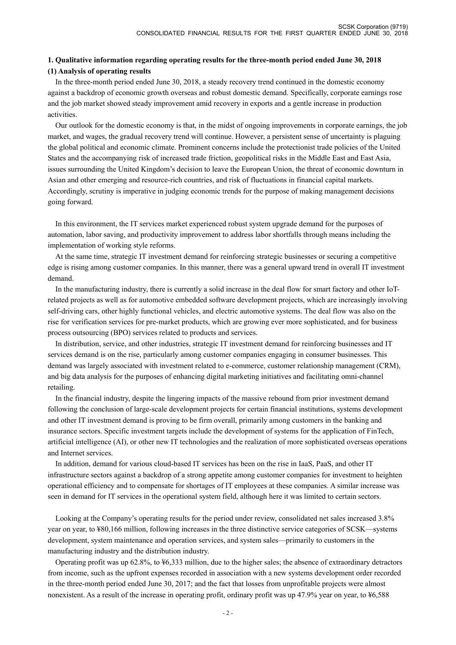## **1. Qualitative information regarding operating results for the three-month period ended June 30, 2018 (1) Analysis of operating results**

In the three-month period ended June 30, 2018, a steady recovery trend continued in the domestic economy against a backdrop of economic growth overseas and robust domestic demand. Specifically, corporate earnings rose and the job market showed steady improvement amid recovery in exports and a gentle increase in production activities.

Our outlook for the domestic economy is that, in the midst of ongoing improvements in corporate earnings, the job market, and wages, the gradual recovery trend will continue. However, a persistent sense of uncertainty is plaguing the global political and economic climate. Prominent concerns include the protectionist trade policies of the United States and the accompanying risk of increased trade friction, geopolitical risks in the Middle East and East Asia, issues surrounding the United Kingdom's decision to leave the European Union, the threat of economic downturn in Asian and other emerging and resource-rich countries, and risk of fluctuations in financial capital markets. Accordingly, scrutiny is imperative in judging economic trends for the purpose of making management decisions going forward.

In this environment, the IT services market experienced robust system upgrade demand for the purposes of automation, labor saving, and productivity improvement to address labor shortfalls through means including the implementation of working style reforms.

At the same time, strategic IT investment demand for reinforcing strategic businesses or securing a competitive edge is rising among customer companies. In this manner, there was a general upward trend in overall IT investment demand.

In the manufacturing industry, there is currently a solid increase in the deal flow for smart factory and other IoTrelated projects as well as for automotive embedded software development projects, which are increasingly involving self-driving cars, other highly functional vehicles, and electric automotive systems. The deal flow was also on the rise for verification services for pre-market products, which are growing ever more sophisticated, and for business process outsourcing (BPO) services related to products and services.

In distribution, service, and other industries, strategic IT investment demand for reinforcing businesses and IT services demand is on the rise, particularly among customer companies engaging in consumer businesses. This demand was largely associated with investment related to e-commerce, customer relationship management (CRM), and big data analysis for the purposes of enhancing digital marketing initiatives and facilitating omni-channel retailing.

In the financial industry, despite the lingering impacts of the massive rebound from prior investment demand following the conclusion of large-scale development projects for certain financial institutions, systems development and other IT investment demand is proving to be firm overall, primarily among customers in the banking and insurance sectors. Specific investment targets include the development of systems for the application of FinTech, artificial intelligence (AI), or other new IT technologies and the realization of more sophisticated overseas operations and Internet services.

In addition, demand for various cloud-based IT services has been on the rise in IaaS, PaaS, and other IT infrastructure sectors against a backdrop of a strong appetite among customer companies for investment to heighten operational efficiency and to compensate for shortages of IT employees at these companies. A similar increase was seen in demand for IT services in the operational system field, although here it was limited to certain sectors.

Looking at the Company's operating results for the period under review, consolidated net sales increased 3.8% year on year, to ¥80,166 million, following increases in the three distinctive service categories of SCSK—systems development, system maintenance and operation services, and system sales—primarily to customers in the manufacturing industry and the distribution industry.

Operating profit was up 62.8%, to ¥6,333 million, due to the higher sales; the absence of extraordinary detractors from income, such as the upfront expenses recorded in association with a new systems development order recorded in the three-month period ended June 30, 2017; and the fact that losses from unprofitable projects were almost nonexistent. As a result of the increase in operating profit, ordinary profit was up 47.9% year on year, to  $\frac{1}{6}588$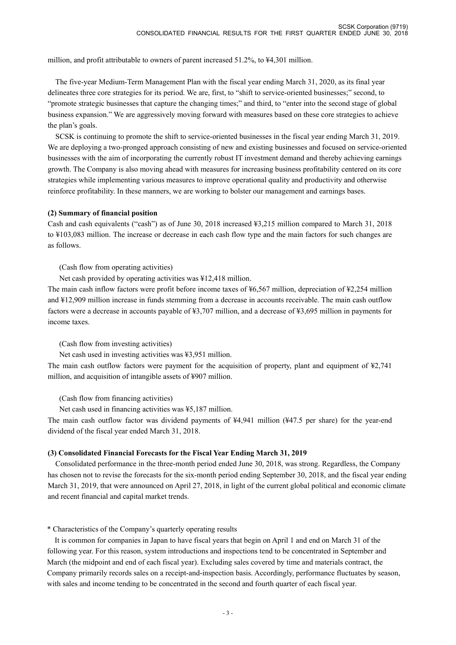million, and profit attributable to owners of parent increased 51.2%, to ¥4,301 million.

The five-year Medium-Term Management Plan with the fiscal year ending March 31, 2020, as its final year delineates three core strategies for its period. We are, first, to "shift to service-oriented businesses;" second, to "promote strategic businesses that capture the changing times;" and third, to "enter into the second stage of global business expansion." We are aggressively moving forward with measures based on these core strategies to achieve the plan's goals.

SCSK is continuing to promote the shift to service-oriented businesses in the fiscal year ending March 31, 2019. We are deploying a two-pronged approach consisting of new and existing businesses and focused on service-oriented businesses with the aim of incorporating the currently robust IT investment demand and thereby achieving earnings growth. The Company is also moving ahead with measures for increasing business profitability centered on its core strategies while implementing various measures to improve operational quality and productivity and otherwise reinforce profitability. In these manners, we are working to bolster our management and earnings bases.

#### **(2) Summary of financial position**

Cash and cash equivalents ("cash") as of June 30, 2018 increased ¥3,215 million compared to March 31, 2018 to ¥103,083 million. The increase or decrease in each cash flow type and the main factors for such changes are as follows.

(Cash flow from operating activities)

Net cash provided by operating activities was ¥12,418 million.

The main cash inflow factors were profit before income taxes of ¥6,567 million, depreciation of ¥2,254 million and ¥12,909 million increase in funds stemming from a decrease in accounts receivable. The main cash outflow factors were a decrease in accounts payable of ¥3,707 million, and a decrease of ¥3,695 million in payments for income taxes.

#### (Cash flow from investing activities)

Net cash used in investing activities was ¥3,951 million.

The main cash outflow factors were payment for the acquisition of property, plant and equipment of  $\frac{12,741}{2}$ million, and acquisition of intangible assets of ¥907 million.

(Cash flow from financing activities)

Net cash used in financing activities was ¥5,187 million.

The main cash outflow factor was dividend payments of ¥4,941 million (¥47.5 per share) for the year-end dividend of the fiscal year ended March 31, 2018.

#### **(3) Consolidated Financial Forecasts for the Fiscal Year Ending March 31, 2019**

Consolidated performance in the three-month period ended June 30, 2018, was strong. Regardless, the Company has chosen not to revise the forecasts for the six-month period ending September 30, 2018, and the fiscal year ending March 31, 2019, that were announced on April 27, 2018, in light of the current global political and economic climate and recent financial and capital market trends.

\* Characteristics of the Company's quarterly operating results

 It is common for companies in Japan to have fiscal years that begin on April 1 and end on March 31 of the following year. For this reason, system introductions and inspections tend to be concentrated in September and March (the midpoint and end of each fiscal year). Excluding sales covered by time and materials contract, the Company primarily records sales on a receipt-and-inspection basis. Accordingly, performance fluctuates by season, with sales and income tending to be concentrated in the second and fourth quarter of each fiscal year.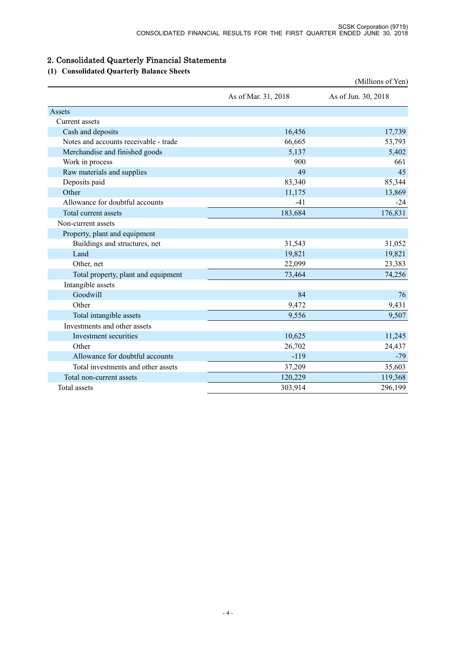# 2. Consolidated Quarterly Financial Statements

# **(1) Consolidated Quarterly Balance Sheets**

|                                       |                     | (Millions of Yen)   |
|---------------------------------------|---------------------|---------------------|
|                                       | As of Mar. 31, 2018 | As of Jun. 30, 2018 |
| Assets                                |                     |                     |
| Current assets                        |                     |                     |
| Cash and deposits                     | 16,456              | 17,739              |
| Notes and accounts receivable - trade | 66,665              | 53,793              |
| Merchandise and finished goods        | 5,137               | 5,402               |
| Work in process                       | 900                 | 661                 |
| Raw materials and supplies            | 49                  | 45                  |
| Deposits paid                         | 83,340              | 85,344              |
| Other                                 | 11,175              | 13,869              |
| Allowance for doubtful accounts       | $-41$               | $-24$               |
| Total current assets                  | 183,684             | 176,831             |
| Non-current assets                    |                     |                     |
| Property, plant and equipment         |                     |                     |
| Buildings and structures, net         | 31,543              | 31,052              |
| Land                                  | 19,821              | 19,821              |
| Other, net                            | 22,099              | 23,383              |
| Total property, plant and equipment   | 73,464              | 74,256              |
| Intangible assets                     |                     |                     |
| Goodwill                              | 84                  | 76                  |
| Other                                 | 9,472               | 9,431               |
| Total intangible assets               | 9,556               | 9,507               |
| Investments and other assets          |                     |                     |
| Investment securities                 | 10,625              | 11,245              |
| Other                                 | 26,702              | 24,437              |
| Allowance for doubtful accounts       | $-119$              | $-79$               |
| Total investments and other assets    | 37,209              | 35,603              |
| Total non-current assets              | 120,229             | 119,368             |
| <b>Total</b> assets                   | 303,914             | 296,199             |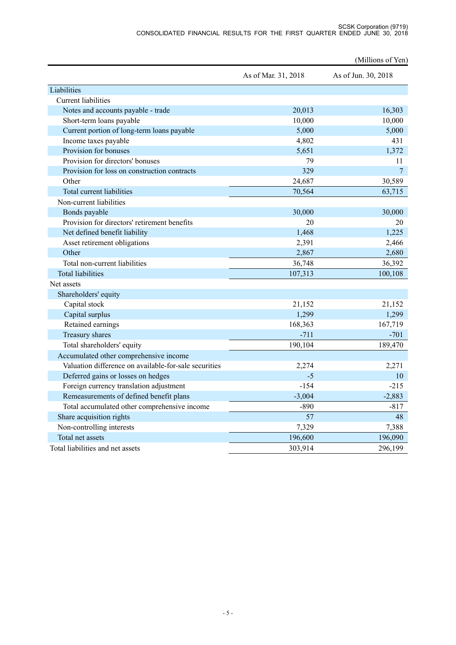| As of Mar. 31, 2018<br>As of Jun. 30, 2018<br><b>Current liabilities</b><br>Notes and accounts payable - trade<br>20,013<br>16,303<br>Short-term loans payable<br>10,000<br>10,000<br>Current portion of long-term loans payable<br>5,000<br>5,000<br>431<br>Income taxes payable<br>4,802<br>Provision for bonuses<br>1,372<br>5,651<br>Provision for directors' bonuses<br>79<br>11<br>$\overline{7}$<br>Provision for loss on construction contracts<br>329<br>Other<br>24,687<br>30,589<br>Total current liabilities<br>70,564<br>63,715<br>Non-current liabilities<br>Bonds payable<br>30,000<br>30,000<br>Provision for directors' retirement benefits<br>20<br>20<br>Net defined benefit liability<br>1,225<br>1,468<br>Asset retirement obligations<br>2,466<br>2,391<br>Other<br>2,867<br>2,680<br>Total non-current liabilities<br>36,392<br>36,748<br><b>Total liabilities</b><br>107,313<br>100,108<br>Shareholders' equity<br>Capital stock<br>21,152<br>21,152<br>Capital surplus<br>1,299<br>1,299<br>Retained earnings<br>168,363<br>167,719<br>Treasury shares<br>$-711$<br>$-701$<br>190,104<br>189,470<br>Total shareholders' equity<br>Accumulated other comprehensive income<br>Valuation difference on available-for-sale securities<br>2,274<br>2,271<br>Deferred gains or losses on hedges<br>$-5$<br>10<br>Foreign currency translation adjustment<br>$-154$<br>$-215$<br>$-3,004$<br>2,883<br>Remeasurements of defined benefit plans |             | (Millions of Yen) |
|-----------------------------------------------------------------------------------------------------------------------------------------------------------------------------------------------------------------------------------------------------------------------------------------------------------------------------------------------------------------------------------------------------------------------------------------------------------------------------------------------------------------------------------------------------------------------------------------------------------------------------------------------------------------------------------------------------------------------------------------------------------------------------------------------------------------------------------------------------------------------------------------------------------------------------------------------------------------------------------------------------------------------------------------------------------------------------------------------------------------------------------------------------------------------------------------------------------------------------------------------------------------------------------------------------------------------------------------------------------------------------------------------------------------------------------------------------------------|-------------|-------------------|
|                                                                                                                                                                                                                                                                                                                                                                                                                                                                                                                                                                                                                                                                                                                                                                                                                                                                                                                                                                                                                                                                                                                                                                                                                                                                                                                                                                                                                                                                 |             |                   |
|                                                                                                                                                                                                                                                                                                                                                                                                                                                                                                                                                                                                                                                                                                                                                                                                                                                                                                                                                                                                                                                                                                                                                                                                                                                                                                                                                                                                                                                                 | Liabilities |                   |
|                                                                                                                                                                                                                                                                                                                                                                                                                                                                                                                                                                                                                                                                                                                                                                                                                                                                                                                                                                                                                                                                                                                                                                                                                                                                                                                                                                                                                                                                 |             |                   |
|                                                                                                                                                                                                                                                                                                                                                                                                                                                                                                                                                                                                                                                                                                                                                                                                                                                                                                                                                                                                                                                                                                                                                                                                                                                                                                                                                                                                                                                                 |             |                   |
|                                                                                                                                                                                                                                                                                                                                                                                                                                                                                                                                                                                                                                                                                                                                                                                                                                                                                                                                                                                                                                                                                                                                                                                                                                                                                                                                                                                                                                                                 |             |                   |
|                                                                                                                                                                                                                                                                                                                                                                                                                                                                                                                                                                                                                                                                                                                                                                                                                                                                                                                                                                                                                                                                                                                                                                                                                                                                                                                                                                                                                                                                 |             |                   |
|                                                                                                                                                                                                                                                                                                                                                                                                                                                                                                                                                                                                                                                                                                                                                                                                                                                                                                                                                                                                                                                                                                                                                                                                                                                                                                                                                                                                                                                                 |             |                   |
|                                                                                                                                                                                                                                                                                                                                                                                                                                                                                                                                                                                                                                                                                                                                                                                                                                                                                                                                                                                                                                                                                                                                                                                                                                                                                                                                                                                                                                                                 |             |                   |
|                                                                                                                                                                                                                                                                                                                                                                                                                                                                                                                                                                                                                                                                                                                                                                                                                                                                                                                                                                                                                                                                                                                                                                                                                                                                                                                                                                                                                                                                 |             |                   |
|                                                                                                                                                                                                                                                                                                                                                                                                                                                                                                                                                                                                                                                                                                                                                                                                                                                                                                                                                                                                                                                                                                                                                                                                                                                                                                                                                                                                                                                                 |             |                   |
|                                                                                                                                                                                                                                                                                                                                                                                                                                                                                                                                                                                                                                                                                                                                                                                                                                                                                                                                                                                                                                                                                                                                                                                                                                                                                                                                                                                                                                                                 |             |                   |
|                                                                                                                                                                                                                                                                                                                                                                                                                                                                                                                                                                                                                                                                                                                                                                                                                                                                                                                                                                                                                                                                                                                                                                                                                                                                                                                                                                                                                                                                 |             |                   |
|                                                                                                                                                                                                                                                                                                                                                                                                                                                                                                                                                                                                                                                                                                                                                                                                                                                                                                                                                                                                                                                                                                                                                                                                                                                                                                                                                                                                                                                                 |             |                   |
|                                                                                                                                                                                                                                                                                                                                                                                                                                                                                                                                                                                                                                                                                                                                                                                                                                                                                                                                                                                                                                                                                                                                                                                                                                                                                                                                                                                                                                                                 |             |                   |
|                                                                                                                                                                                                                                                                                                                                                                                                                                                                                                                                                                                                                                                                                                                                                                                                                                                                                                                                                                                                                                                                                                                                                                                                                                                                                                                                                                                                                                                                 |             |                   |
|                                                                                                                                                                                                                                                                                                                                                                                                                                                                                                                                                                                                                                                                                                                                                                                                                                                                                                                                                                                                                                                                                                                                                                                                                                                                                                                                                                                                                                                                 |             |                   |
|                                                                                                                                                                                                                                                                                                                                                                                                                                                                                                                                                                                                                                                                                                                                                                                                                                                                                                                                                                                                                                                                                                                                                                                                                                                                                                                                                                                                                                                                 |             |                   |
|                                                                                                                                                                                                                                                                                                                                                                                                                                                                                                                                                                                                                                                                                                                                                                                                                                                                                                                                                                                                                                                                                                                                                                                                                                                                                                                                                                                                                                                                 |             |                   |
|                                                                                                                                                                                                                                                                                                                                                                                                                                                                                                                                                                                                                                                                                                                                                                                                                                                                                                                                                                                                                                                                                                                                                                                                                                                                                                                                                                                                                                                                 |             |                   |
|                                                                                                                                                                                                                                                                                                                                                                                                                                                                                                                                                                                                                                                                                                                                                                                                                                                                                                                                                                                                                                                                                                                                                                                                                                                                                                                                                                                                                                                                 |             |                   |
|                                                                                                                                                                                                                                                                                                                                                                                                                                                                                                                                                                                                                                                                                                                                                                                                                                                                                                                                                                                                                                                                                                                                                                                                                                                                                                                                                                                                                                                                 | Net assets  |                   |
|                                                                                                                                                                                                                                                                                                                                                                                                                                                                                                                                                                                                                                                                                                                                                                                                                                                                                                                                                                                                                                                                                                                                                                                                                                                                                                                                                                                                                                                                 |             |                   |
|                                                                                                                                                                                                                                                                                                                                                                                                                                                                                                                                                                                                                                                                                                                                                                                                                                                                                                                                                                                                                                                                                                                                                                                                                                                                                                                                                                                                                                                                 |             |                   |
|                                                                                                                                                                                                                                                                                                                                                                                                                                                                                                                                                                                                                                                                                                                                                                                                                                                                                                                                                                                                                                                                                                                                                                                                                                                                                                                                                                                                                                                                 |             |                   |
|                                                                                                                                                                                                                                                                                                                                                                                                                                                                                                                                                                                                                                                                                                                                                                                                                                                                                                                                                                                                                                                                                                                                                                                                                                                                                                                                                                                                                                                                 |             |                   |
|                                                                                                                                                                                                                                                                                                                                                                                                                                                                                                                                                                                                                                                                                                                                                                                                                                                                                                                                                                                                                                                                                                                                                                                                                                                                                                                                                                                                                                                                 |             |                   |
|                                                                                                                                                                                                                                                                                                                                                                                                                                                                                                                                                                                                                                                                                                                                                                                                                                                                                                                                                                                                                                                                                                                                                                                                                                                                                                                                                                                                                                                                 |             |                   |
|                                                                                                                                                                                                                                                                                                                                                                                                                                                                                                                                                                                                                                                                                                                                                                                                                                                                                                                                                                                                                                                                                                                                                                                                                                                                                                                                                                                                                                                                 |             |                   |
|                                                                                                                                                                                                                                                                                                                                                                                                                                                                                                                                                                                                                                                                                                                                                                                                                                                                                                                                                                                                                                                                                                                                                                                                                                                                                                                                                                                                                                                                 |             |                   |
|                                                                                                                                                                                                                                                                                                                                                                                                                                                                                                                                                                                                                                                                                                                                                                                                                                                                                                                                                                                                                                                                                                                                                                                                                                                                                                                                                                                                                                                                 |             |                   |
|                                                                                                                                                                                                                                                                                                                                                                                                                                                                                                                                                                                                                                                                                                                                                                                                                                                                                                                                                                                                                                                                                                                                                                                                                                                                                                                                                                                                                                                                 |             |                   |
|                                                                                                                                                                                                                                                                                                                                                                                                                                                                                                                                                                                                                                                                                                                                                                                                                                                                                                                                                                                                                                                                                                                                                                                                                                                                                                                                                                                                                                                                 |             |                   |
| Total accumulated other comprehensive income<br>$-890$<br>$-817$                                                                                                                                                                                                                                                                                                                                                                                                                                                                                                                                                                                                                                                                                                                                                                                                                                                                                                                                                                                                                                                                                                                                                                                                                                                                                                                                                                                                |             |                   |
| Share acquisition rights<br>57<br>48                                                                                                                                                                                                                                                                                                                                                                                                                                                                                                                                                                                                                                                                                                                                                                                                                                                                                                                                                                                                                                                                                                                                                                                                                                                                                                                                                                                                                            |             |                   |
| Non-controlling interests<br>7,329<br>7,388                                                                                                                                                                                                                                                                                                                                                                                                                                                                                                                                                                                                                                                                                                                                                                                                                                                                                                                                                                                                                                                                                                                                                                                                                                                                                                                                                                                                                     |             |                   |
| Total net assets<br>196,600<br>196,090                                                                                                                                                                                                                                                                                                                                                                                                                                                                                                                                                                                                                                                                                                                                                                                                                                                                                                                                                                                                                                                                                                                                                                                                                                                                                                                                                                                                                          |             |                   |
| Total liabilities and net assets<br>303,914<br>296,199                                                                                                                                                                                                                                                                                                                                                                                                                                                                                                                                                                                                                                                                                                                                                                                                                                                                                                                                                                                                                                                                                                                                                                                                                                                                                                                                                                                                          |             |                   |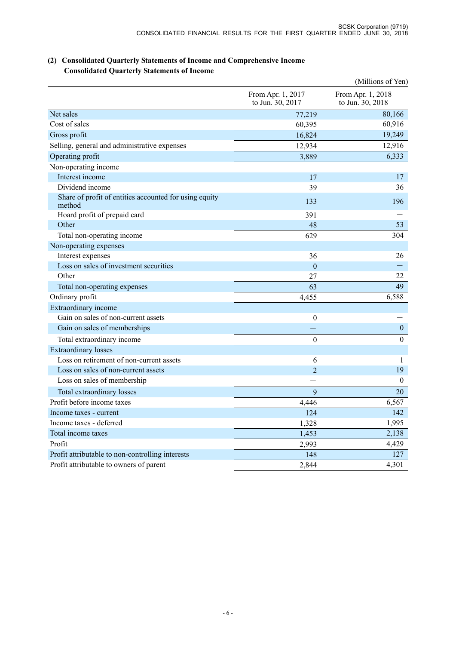|                                                                  |                                       | (Millions of Yen)                     |
|------------------------------------------------------------------|---------------------------------------|---------------------------------------|
|                                                                  | From Apr. 1, 2017<br>to Jun. 30, 2017 | From Apr. 1, 2018<br>to Jun. 30, 2018 |
| Net sales                                                        | 77,219                                | 80,166                                |
| Cost of sales                                                    | 60,395                                | 60,916                                |
| Gross profit                                                     | 16,824                                | 19,249                                |
| Selling, general and administrative expenses                     | 12,934                                | 12,916                                |
| Operating profit                                                 | 3,889                                 | 6,333                                 |
| Non-operating income                                             |                                       |                                       |
| Interest income                                                  | 17                                    | 17                                    |
| Dividend income                                                  | 39                                    | 36                                    |
| Share of profit of entities accounted for using equity<br>method | 133                                   | 196                                   |
| Hoard profit of prepaid card                                     | 391                                   |                                       |
| Other                                                            | 48                                    | 53                                    |
| Total non-operating income                                       | 629                                   | 304                                   |
| Non-operating expenses                                           |                                       |                                       |
| Interest expenses                                                | 36                                    | 26                                    |
| Loss on sales of investment securities                           | $\mathbf{0}$                          |                                       |
| Other                                                            | 27                                    | 22                                    |
| Total non-operating expenses                                     | 63                                    | 49                                    |
| Ordinary profit                                                  | 4,455                                 | 6,588                                 |
| Extraordinary income                                             |                                       |                                       |
| Gain on sales of non-current assets                              | $\boldsymbol{0}$                      |                                       |
| Gain on sales of memberships                                     |                                       | $\boldsymbol{0}$                      |
| Total extraordinary income                                       | $\Omega$                              | $\boldsymbol{0}$                      |
| <b>Extraordinary losses</b>                                      |                                       |                                       |
| Loss on retirement of non-current assets                         | 6                                     | $\mathbf{1}$                          |
| Loss on sales of non-current assets                              | $\overline{\mathcal{L}}$              | 19                                    |
| Loss on sales of membership                                      |                                       | $\mathbf{0}$                          |
| Total extraordinary losses                                       | 9                                     | 20                                    |
| Profit before income taxes                                       | 4,446                                 | 6,567                                 |
| Income taxes - current                                           | 124                                   | 142                                   |
| Income taxes - deferred                                          | 1,328                                 | 1,995                                 |
| Total income taxes                                               | 1,453                                 | 2,138                                 |
| Profit                                                           | 2,993                                 | 4,429                                 |
| Profit attributable to non-controlling interests                 | 148                                   | 127                                   |
| Profit attributable to owners of parent                          | 2,844                                 | 4,301                                 |

## **(2) Consolidated Quarterly Statements of Income and Comprehensive Income Consolidated Quarterly Statements of Income**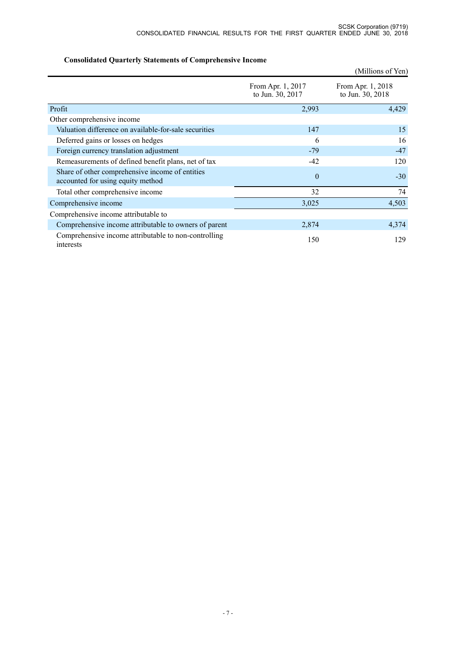|                                                                                      |                                       | (Millions of Yen)                     |
|--------------------------------------------------------------------------------------|---------------------------------------|---------------------------------------|
|                                                                                      | From Apr. 1, 2017<br>to Jun. 30, 2017 | From Apr. 1, 2018<br>to Jun. 30, 2018 |
| Profit                                                                               | 2,993                                 | 4,429                                 |
| Other comprehensive income                                                           |                                       |                                       |
| Valuation difference on available-for-sale securities                                | 147                                   | 15                                    |
| Deferred gains or losses on hedges                                                   | 6                                     | 16                                    |
| Foreign currency translation adjustment                                              | $-79$                                 | $-47$                                 |
| Remeasurements of defined benefit plans, net of tax                                  | $-42$                                 | 120                                   |
| Share of other comprehensive income of entities<br>accounted for using equity method | $\theta$                              | $-30$                                 |
| Total other comprehensive income                                                     | 32                                    | 74                                    |
| Comprehensive income                                                                 | 3,025                                 | 4,503                                 |
| Comprehensive income attributable to                                                 |                                       |                                       |
| Comprehensive income attributable to owners of parent                                | 2,874                                 | 4,374                                 |
| Comprehensive income attributable to non-controlling<br>interests                    | 150                                   | 129                                   |

# **Consolidated Quarterly Statements of Comprehensive Income**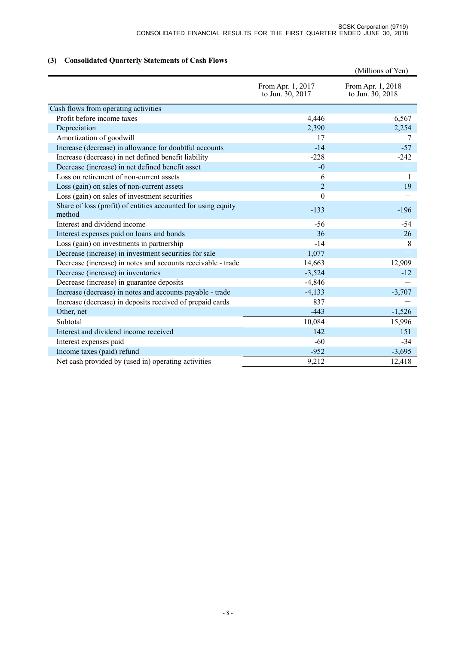# **(3) Consolidated Quarterly Statements of Cash Flows**

|                                                                         |                                       | (Millions of Yen)                     |
|-------------------------------------------------------------------------|---------------------------------------|---------------------------------------|
|                                                                         | From Apr. 1, 2017<br>to Jun. 30, 2017 | From Apr. 1, 2018<br>to Jun. 30, 2018 |
| Cash flows from operating activities                                    |                                       |                                       |
| Profit before income taxes                                              | 4,446                                 | 6,567                                 |
| Depreciation                                                            | 2,390                                 | 2,254                                 |
| Amortization of goodwill                                                | 17                                    | 7                                     |
| Increase (decrease) in allowance for doubtful accounts                  | $-14$                                 | $-57$                                 |
| Increase (decrease) in net defined benefit liability                    | $-228$                                | $-242$                                |
| Decrease (increase) in net defined benefit asset                        | $-0$                                  |                                       |
| Loss on retirement of non-current assets                                | 6                                     | $\mathbf{1}$                          |
| Loss (gain) on sales of non-current assets                              | $\overline{2}$                        | 19                                    |
| Loss (gain) on sales of investment securities                           | $\overline{0}$                        |                                       |
| Share of loss (profit) of entities accounted for using equity<br>method | $-133$                                | $-196$                                |
| Interest and dividend income                                            | $-56$                                 | $-54$                                 |
| Interest expenses paid on loans and bonds                               | 36                                    | 26                                    |
| Loss (gain) on investments in partnership                               | $-14$                                 | 8                                     |
| Decrease (increase) in investment securities for sale                   | 1,077                                 |                                       |
| Decrease (increase) in notes and accounts receivable - trade            | 14,663                                | 12,909                                |
| Decrease (increase) in inventories                                      | $-3,524$                              | $-12$                                 |
| Decrease (increase) in guarantee deposits                               | $-4,846$                              |                                       |
| Increase (decrease) in notes and accounts payable - trade               | $-4,133$                              | $-3,707$                              |
| Increase (decrease) in deposits received of prepaid cards               | 837                                   |                                       |
| Other, net                                                              | $-443$                                | $-1,526$                              |
| Subtotal                                                                | 10,084                                | 15,996                                |
| Interest and dividend income received                                   | 142                                   | 151                                   |
| Interest expenses paid                                                  | $-60$                                 | $-34$                                 |
| Income taxes (paid) refund                                              | $-952$                                | $-3,695$                              |
| Net cash provided by (used in) operating activities                     | 9,212                                 | 12,418                                |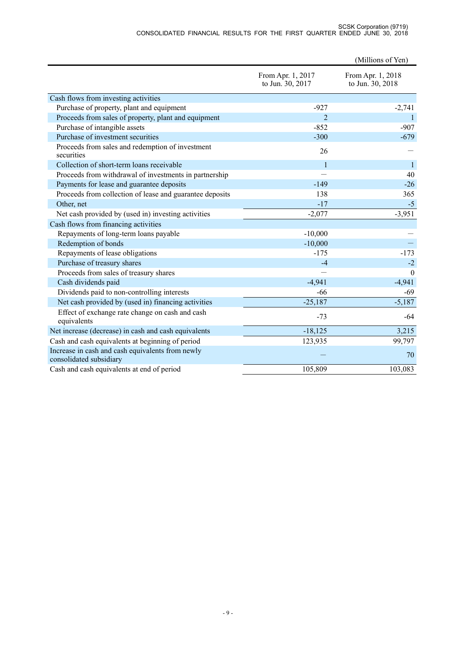#### SCSK Corporation (9719) CONSOLIDATED FINANCIAL RESULTS FOR THE FIRST QUARTER ENDED JUNE 30, 2018

|                                                                             |                                       | (Millions of Yen)                     |
|-----------------------------------------------------------------------------|---------------------------------------|---------------------------------------|
|                                                                             | From Apr. 1, 2017<br>to Jun. 30, 2017 | From Apr. 1, 2018<br>to Jun. 30, 2018 |
| Cash flows from investing activities                                        |                                       |                                       |
| Purchase of property, plant and equipment                                   | $-927$                                | $-2,741$                              |
| Proceeds from sales of property, plant and equipment                        | $\overline{2}$                        | $\mathbf{1}$                          |
| Purchase of intangible assets                                               | $-852$                                | $-907$                                |
| Purchase of investment securities                                           | $-300$                                | $-679$                                |
| Proceeds from sales and redemption of investment<br>securities              | 26                                    |                                       |
| Collection of short-term loans receivable                                   | $\mathbf{1}$                          | $\vert$                               |
| Proceeds from withdrawal of investments in partnership                      |                                       | 40                                    |
| Payments for lease and guarantee deposits                                   | $-149$                                | $-26$                                 |
| Proceeds from collection of lease and guarantee deposits                    | 138                                   | 365                                   |
| Other, net                                                                  | $-17$                                 | $-5$                                  |
| Net cash provided by (used in) investing activities                         | $-2,077$                              | $-3,951$                              |
| Cash flows from financing activities                                        |                                       |                                       |
| Repayments of long-term loans payable                                       | $-10,000$                             |                                       |
| Redemption of bonds                                                         | $-10,000$                             |                                       |
| Repayments of lease obligations                                             | $-175$                                | $-173$                                |
| Purchase of treasury shares                                                 | $-4$                                  | $-2$                                  |
| Proceeds from sales of treasury shares                                      |                                       | $\theta$                              |
| Cash dividends paid                                                         | $-4,941$                              | $-4,941$                              |
| Dividends paid to non-controlling interests                                 | $-66$                                 | $-69$                                 |
| Net cash provided by (used in) financing activities                         | $-25,187$                             | $-5,187$                              |
| Effect of exchange rate change on cash and cash<br>equivalents              | $-73$                                 | -64                                   |
| Net increase (decrease) in cash and cash equivalents                        | $-18,125$                             | 3,215                                 |
| Cash and cash equivalents at beginning of period                            | 123,935                               | 99,797                                |
| Increase in cash and cash equivalents from newly<br>consolidated subsidiary |                                       | 70                                    |
| Cash and cash equivalents at end of period                                  | 105,809                               | 103,083                               |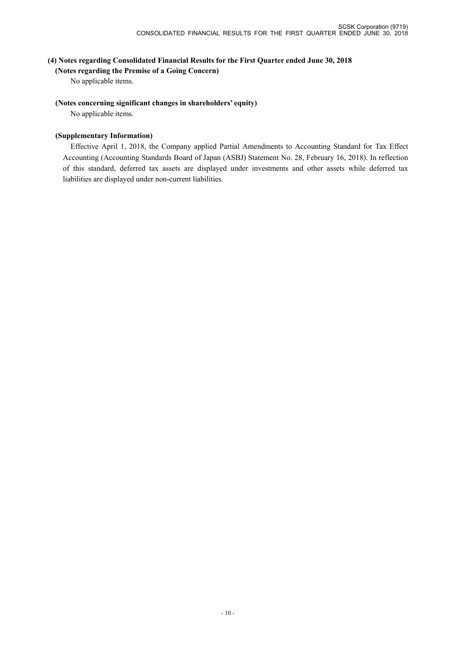### **(4) Notes regarding Consolidated Financial Results for the First Quarter ended June 30, 2018**

**(Notes regarding the Premise of a Going Concern)**

No applicable items.

#### **(Notes concerning significant changes in shareholders' equity)**

No applicable items.

#### **(Supplementary Information)**

Effective April 1, 2018, the Company applied Partial Amendments to Accounting Standard for Tax Effect Accounting (Accounting Standards Board of Japan (ASBJ) Statement No. 28, February 16, 2018). In reflection of this standard, deferred tax assets are displayed under investments and other assets while deferred tax liabilities are displayed under non-current liabilities.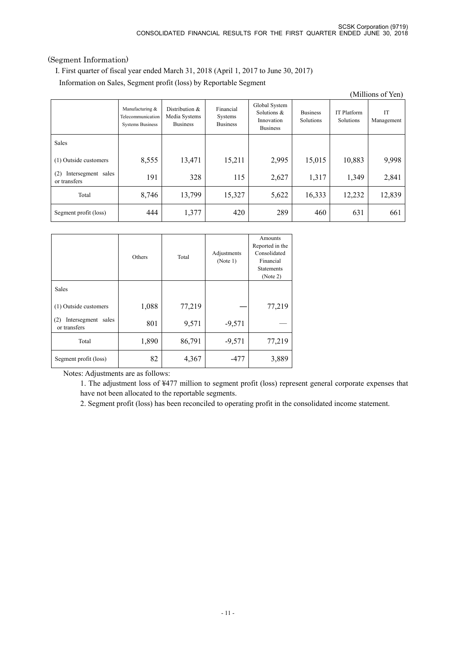## (Segment Information)

I. First quarter of fiscal year ended March 31, 2018 (April 1, 2017 to June 30, 2017)

Information on Sales, Segment profit (loss) by Reportable Segment

| (Millions of Yen)                         |                                                                 |                                                    |                                         |                                                               |                              |                          |                         |
|-------------------------------------------|-----------------------------------------------------------------|----------------------------------------------------|-----------------------------------------|---------------------------------------------------------------|------------------------------|--------------------------|-------------------------|
|                                           | Manufacturing &<br>Telecommunication<br><b>Systems Business</b> | Distribution &<br>Media Systems<br><b>Business</b> | Financial<br>Systems<br><b>Business</b> | Global System<br>Solutions &<br>Innovation<br><b>Business</b> | <b>Business</b><br>Solutions | IT Platform<br>Solutions | <b>IT</b><br>Management |
| Sales                                     |                                                                 |                                                    |                                         |                                                               |                              |                          |                         |
| (1) Outside customers                     | 8,555                                                           | 13,471                                             | 15,211                                  | 2,995                                                         | 15,015                       | 10,883                   | 9,998                   |
| Intersegment sales<br>(2)<br>or transfers | 191                                                             | 328                                                | 115                                     | 2,627                                                         | 1,317                        | 1,349                    | 2,841                   |
| Total                                     | 8,746                                                           | 13,799                                             | 15,327                                  | 5,622                                                         | 16,333                       | 12,232                   | 12,839                  |
| Segment profit (loss)                     | 444                                                             | 1,377                                              | 420                                     | 289                                                           | 460                          | 631                      | 661                     |

|                                           | Others | Total  | Adjustments<br>(Note 1) | Amounts<br>Reported in the<br>Consolidated<br>Financial<br><b>Statements</b><br>(Note 2) |
|-------------------------------------------|--------|--------|-------------------------|------------------------------------------------------------------------------------------|
| Sales                                     |        |        |                         |                                                                                          |
| (1) Outside customers                     | 1,088  | 77,219 |                         | 77,219                                                                                   |
| Intersegment sales<br>(2)<br>or transfers | 801    | 9,571  | $-9,571$                |                                                                                          |
| Total                                     | 1,890  | 86,791 | $-9,571$                | 77,219                                                                                   |
| Segment profit (loss)                     | 82     | 4,367  | -477                    | 3,889                                                                                    |

Notes: Adjustments are as follows:

1. The adjustment loss of ¥477 million to segment profit (loss) represent general corporate expenses that have not been allocated to the reportable segments.

2. Segment profit (loss) has been reconciled to operating profit in the consolidated income statement.